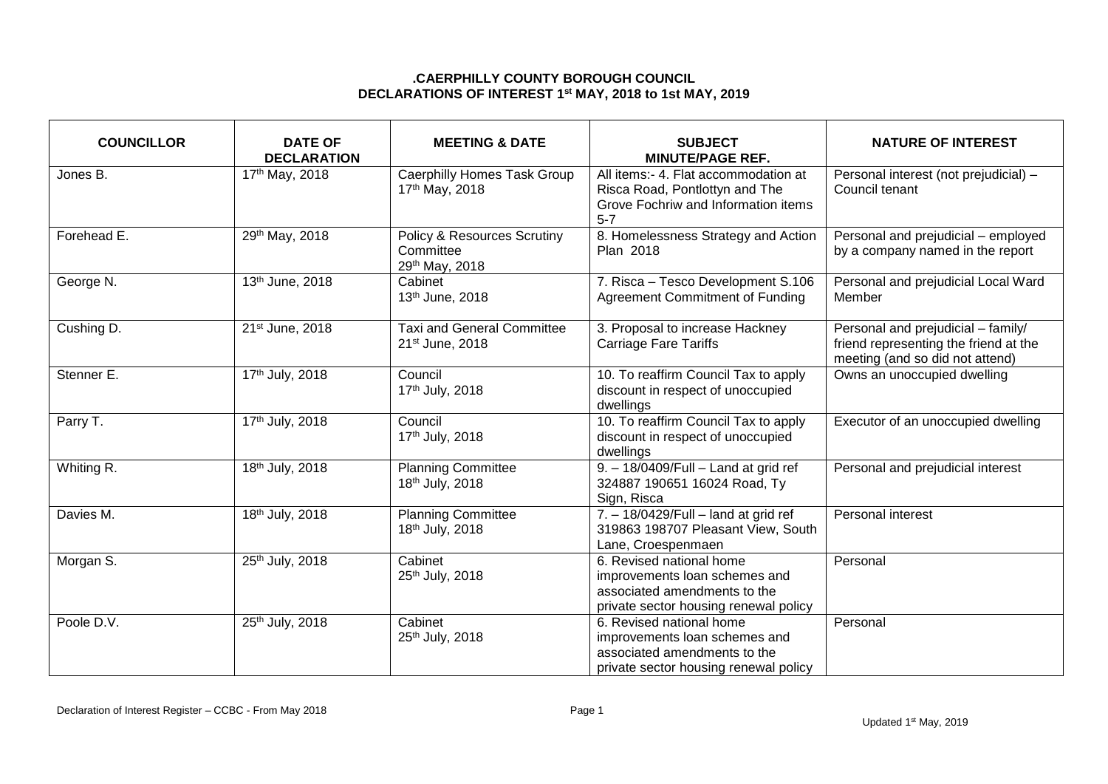## **.CAERPHILLY COUNTY BOROUGH COUNCIL DECLARATIONS OF INTEREST 1 st MAY, 2018 to 1st MAY, 2019**

| <b>COUNCILLOR</b> | <b>DATE OF</b><br><b>DECLARATION</b> | <b>MEETING &amp; DATE</b>                                             | <b>SUBJECT</b><br><b>MINUTE/PAGE REF.</b>                                                                                          | <b>NATURE OF INTEREST</b>                                                                                      |
|-------------------|--------------------------------------|-----------------------------------------------------------------------|------------------------------------------------------------------------------------------------------------------------------------|----------------------------------------------------------------------------------------------------------------|
| Jones B.          | 17th May, 2018                       | Caerphilly Homes Task Group<br>17th May, 2018                         | All items:- 4. Flat accommodation at<br>Risca Road, Pontlottyn and The<br>Grove Fochriw and Information items<br>$5 - 7$           | Personal interest (not prejudicial) -<br>Council tenant                                                        |
| Forehead E.       | 29th May, 2018                       | <b>Policy &amp; Resources Scrutiny</b><br>Committee<br>29th May, 2018 | 8. Homelessness Strategy and Action<br>Plan 2018                                                                                   | Personal and prejudicial - employed<br>by a company named in the report                                        |
| George N.         | 13th June, 2018                      | Cabinet<br>13th June, 2018                                            | 7. Risca - Tesco Development S.106<br><b>Agreement Commitment of Funding</b>                                                       | Personal and prejudicial Local Ward<br>Member                                                                  |
| Cushing D.        | 21st June, 2018                      | <b>Taxi and General Committee</b><br>21st June, 2018                  | 3. Proposal to increase Hackney<br><b>Carriage Fare Tariffs</b>                                                                    | Personal and prejudicial - family/<br>friend representing the friend at the<br>meeting (and so did not attend) |
| Stenner E.        | 17th July, 2018                      | Council<br>17th July, 2018                                            | 10. To reaffirm Council Tax to apply<br>discount in respect of unoccupied<br>dwellings                                             | Owns an unoccupied dwelling                                                                                    |
| Parry T.          | 17th July, 2018                      | Council<br>17th July, 2018                                            | 10. To reaffirm Council Tax to apply<br>discount in respect of unoccupied<br>dwellings                                             | Executor of an unoccupied dwelling                                                                             |
| Whiting R.        | 18th July, 2018                      | <b>Planning Committee</b><br>18th July, 2018                          | 9. - 18/0409/Full - Land at grid ref<br>324887 190651 16024 Road, Ty<br>Sign, Risca                                                | Personal and prejudicial interest                                                                              |
| Davies M.         | 18th July, 2018                      | <b>Planning Committee</b><br>18th July, 2018                          | 7. - 18/0429/Full - land at grid ref<br>319863 198707 Pleasant View, South<br>Lane, Croespenmaen                                   | Personal interest                                                                                              |
| Morgan S.         | 25th July, 2018                      | Cabinet<br>25th July, 2018                                            | 6. Revised national home<br>improvements loan schemes and<br>associated amendments to the<br>private sector housing renewal policy | Personal                                                                                                       |
| Poole D.V.        | 25th July, 2018                      | Cabinet<br>25th July, 2018                                            | 6. Revised national home<br>improvements loan schemes and<br>associated amendments to the<br>private sector housing renewal policy | Personal                                                                                                       |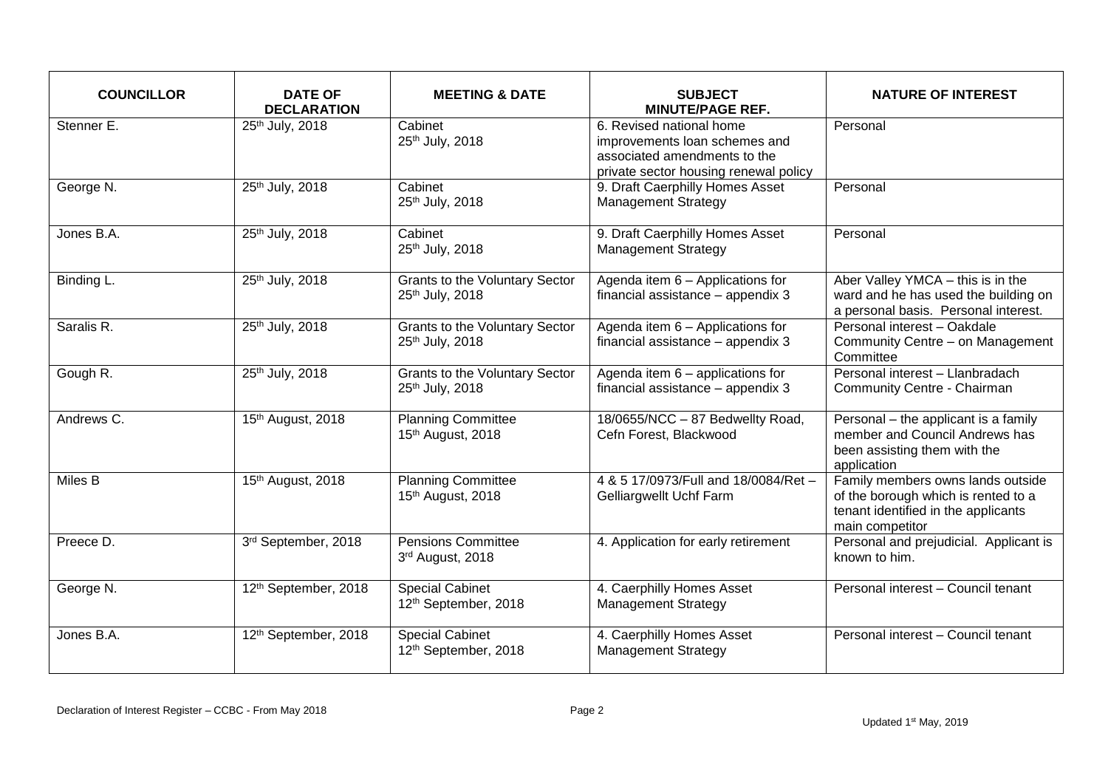| <b>COUNCILLOR</b> | <b>DATE OF</b><br><b>DECLARATION</b> | <b>MEETING &amp; DATE</b>                                | <b>SUBJECT</b><br><b>MINUTE/PAGE REF.</b>                                                                                          | <b>NATURE OF INTEREST</b>                                                                                                          |
|-------------------|--------------------------------------|----------------------------------------------------------|------------------------------------------------------------------------------------------------------------------------------------|------------------------------------------------------------------------------------------------------------------------------------|
| Stenner E.        | 25th July, 2018                      | Cabinet<br>25th July, 2018                               | 6. Revised national home<br>improvements loan schemes and<br>associated amendments to the<br>private sector housing renewal policy | Personal                                                                                                                           |
| George N.         | 25th July, 2018                      | Cabinet<br>25th July, 2018                               | 9. Draft Caerphilly Homes Asset<br><b>Management Strategy</b>                                                                      | Personal                                                                                                                           |
| Jones B.A.        | 25th July, 2018                      | Cabinet<br>25th July, 2018                               | 9. Draft Caerphilly Homes Asset<br><b>Management Strategy</b>                                                                      | Personal                                                                                                                           |
| Binding L.        | 25th July, 2018                      | <b>Grants to the Voluntary Sector</b><br>25th July, 2018 | Agenda item 6 - Applications for<br>financial assistance - appendix 3                                                              | Aber Valley YMCA - this is in the<br>ward and he has used the building on<br>a personal basis. Personal interest.                  |
| Saralis R.        | 25th July, 2018                      | <b>Grants to the Voluntary Sector</b><br>25th July, 2018 | Agenda item 6 - Applications for<br>financial assistance - appendix 3                                                              | Personal interest - Oakdale<br>Community Centre - on Management<br>Committee                                                       |
| Gough R.          | 25th July, 2018                      | <b>Grants to the Voluntary Sector</b><br>25th July, 2018 | Agenda item 6 - applications for<br>financial assistance - appendix 3                                                              | Personal interest - Llanbradach<br>Community Centre - Chairman                                                                     |
| Andrews C.        | 15th August, 2018                    | <b>Planning Committee</b><br>15th August, 2018           | 18/0655/NCC - 87 Bedwellty Road,<br>Cefn Forest, Blackwood                                                                         | Personal - the applicant is a family<br>member and Council Andrews has<br>been assisting them with the<br>application              |
| Miles B           | 15th August, 2018                    | <b>Planning Committee</b><br>15th August, 2018           | 4 & 5 17/0973/Full and 18/0084/Ret -<br>Gelliargwellt Uchf Farm                                                                    | Family members owns lands outside<br>of the borough which is rented to a<br>tenant identified in the applicants<br>main competitor |
| Preece D.         | 3rd September, 2018                  | <b>Pensions Committee</b><br>3rd August, 2018            | 4. Application for early retirement                                                                                                | Personal and prejudicial. Applicant is<br>known to him.                                                                            |
| George N.         | 12th September, 2018                 | <b>Special Cabinet</b><br>12th September, 2018           | 4. Caerphilly Homes Asset<br><b>Management Strategy</b>                                                                            | Personal interest - Council tenant                                                                                                 |
| Jones B.A.        | 12th September, 2018                 | <b>Special Cabinet</b><br>12th September, 2018           | 4. Caerphilly Homes Asset<br><b>Management Strategy</b>                                                                            | Personal interest - Council tenant                                                                                                 |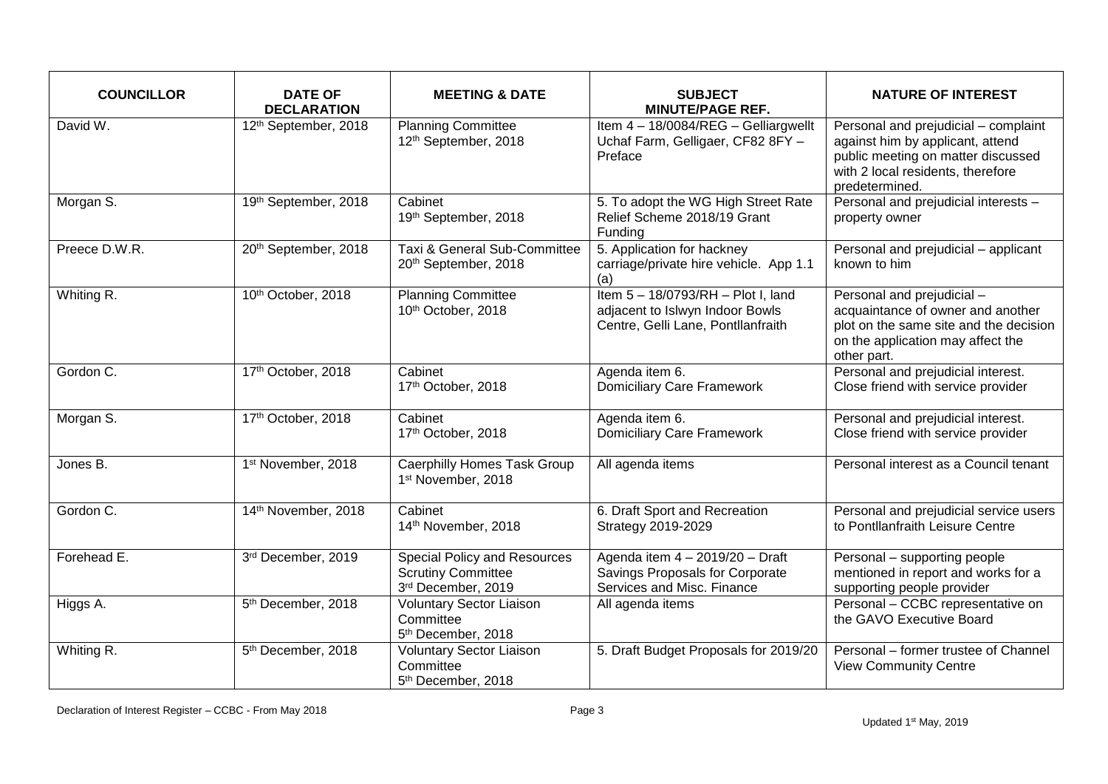| <b>COUNCILLOR</b> | <b>DATE OF</b><br><b>DECLARATION</b> | <b>MEETING &amp; DATE</b>                                                              | <b>SUBJECT</b><br><b>MINUTE/PAGE REF.</b>                                                                   | <b>NATURE OF INTEREST</b>                                                                                                                                             |
|-------------------|--------------------------------------|----------------------------------------------------------------------------------------|-------------------------------------------------------------------------------------------------------------|-----------------------------------------------------------------------------------------------------------------------------------------------------------------------|
| David W.          | 12th September, 2018                 | <b>Planning Committee</b><br>12th September, 2018                                      | Item 4 - 18/0084/REG - Gelliargwellt<br>Uchaf Farm, Gelligaer, CF82 8FY -<br>Preface                        | Personal and prejudicial - complaint<br>against him by applicant, attend<br>public meeting on matter discussed<br>with 2 local residents, therefore<br>predetermined. |
| Morgan S.         | 19th September, 2018                 | Cabinet<br>19th September, 2018                                                        | 5. To adopt the WG High Street Rate<br>Relief Scheme 2018/19 Grant<br>Funding                               | Personal and prejudicial interests -<br>property owner                                                                                                                |
| Preece D.W.R.     | 20th September, 2018                 | Taxi & General Sub-Committee<br>20th September, 2018                                   | 5. Application for hackney<br>carriage/private hire vehicle. App 1.1<br>(a)                                 | Personal and prejudicial - applicant<br>known to him                                                                                                                  |
| Whiting R.        | 10th October, 2018                   | <b>Planning Committee</b><br>10th October, 2018                                        | Item 5 - 18/0793/RH - Plot I, land<br>adjacent to Islwyn Indoor Bowls<br>Centre, Gelli Lane, Pontllanfraith | Personal and prejudicial -<br>acquaintance of owner and another<br>plot on the same site and the decision<br>on the application may affect the<br>other part.         |
| Gordon C.         | 17th October, 2018                   | Cabinet<br>17th October, 2018                                                          | Agenda item 6.<br><b>Domiciliary Care Framework</b>                                                         | Personal and prejudicial interest.<br>Close friend with service provider                                                                                              |
| Morgan S.         | 17th October, 2018                   | Cabinet<br>17th October, 2018                                                          | Agenda item 6.<br><b>Domiciliary Care Framework</b>                                                         | Personal and prejudicial interest.<br>Close friend with service provider                                                                                              |
| Jones B.          | 1st November, 2018                   | <b>Caerphilly Homes Task Group</b><br>1st November, 2018                               | All agenda items                                                                                            | Personal interest as a Council tenant                                                                                                                                 |
| Gordon C.         | 14th November, 2018                  | Cabinet<br>14th November, 2018                                                         | 6. Draft Sport and Recreation<br>Strategy 2019-2029                                                         | Personal and prejudicial service users<br>to Pontllanfraith Leisure Centre                                                                                            |
| Forehead E.       | 3rd December, 2019                   | <b>Special Policy and Resources</b><br><b>Scrutiny Committee</b><br>3rd December, 2019 | Agenda item 4 - 2019/20 - Draft<br>Savings Proposals for Corporate<br>Services and Misc. Finance            | Personal - supporting people<br>mentioned in report and works for a<br>supporting people provider                                                                     |
| Higgs A.          | 5 <sup>th</sup> December, 2018       | <b>Voluntary Sector Liaison</b><br>Committee<br>5 <sup>th</sup> December, 2018         | All agenda items                                                                                            | Personal - CCBC representative on<br>the GAVO Executive Board                                                                                                         |
| Whiting R.        | 5 <sup>th</sup> December, 2018       | <b>Voluntary Sector Liaison</b><br>Committee<br>5 <sup>th</sup> December, 2018         | 5. Draft Budget Proposals for 2019/20                                                                       | Personal - former trustee of Channel<br><b>View Community Centre</b>                                                                                                  |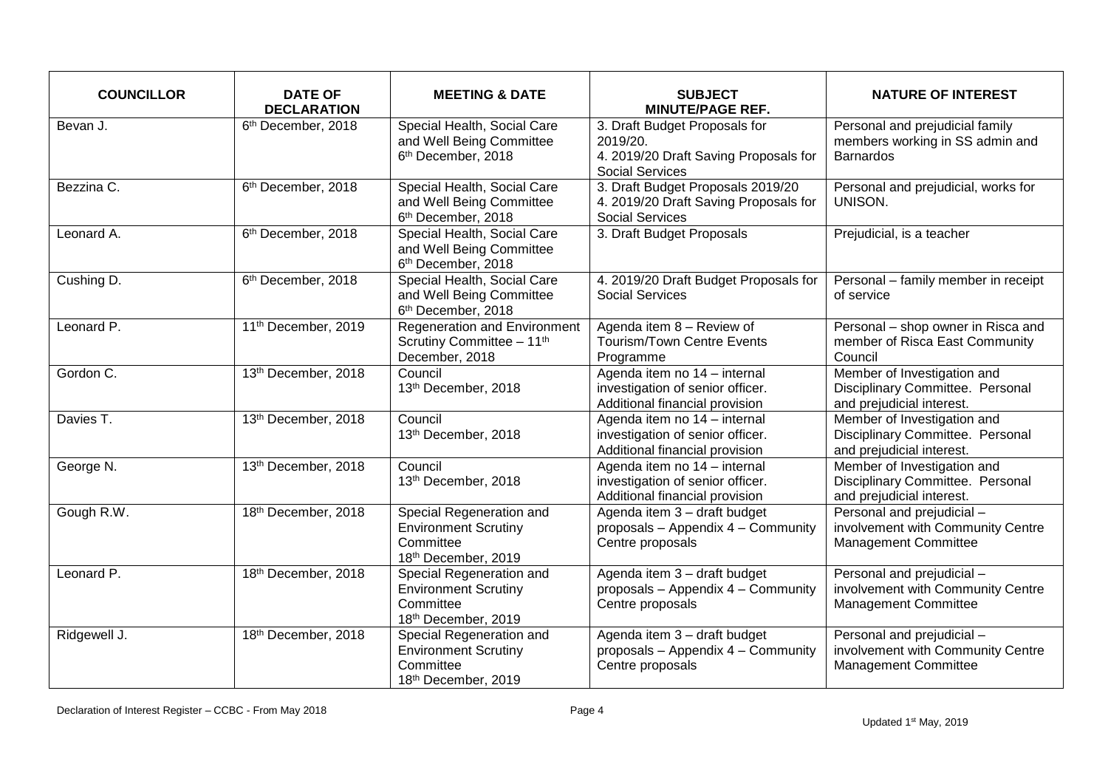| <b>COUNCILLOR</b> | <b>DATE OF</b><br><b>DECLARATION</b> | <b>MEETING &amp; DATE</b>                                                                   | <b>SUBJECT</b><br><b>MINUTE/PAGE REF.</b>                                                                    | <b>NATURE OF INTEREST</b>                                                                      |
|-------------------|--------------------------------------|---------------------------------------------------------------------------------------------|--------------------------------------------------------------------------------------------------------------|------------------------------------------------------------------------------------------------|
| Bevan J.          | 6 <sup>th</sup> December, 2018       | Special Health, Social Care<br>and Well Being Committee<br>6 <sup>th</sup> December, 2018   | 3. Draft Budget Proposals for<br>2019/20.<br>4. 2019/20 Draft Saving Proposals for<br><b>Social Services</b> | Personal and prejudicial family<br>members working in SS admin and<br><b>Barnardos</b>         |
| Bezzina C.        | 6 <sup>th</sup> December, 2018       | Special Health, Social Care<br>and Well Being Committee<br>6 <sup>th</sup> December, 2018   | 3. Draft Budget Proposals 2019/20<br>4. 2019/20 Draft Saving Proposals for<br><b>Social Services</b>         | Personal and prejudicial, works for<br>UNISON.                                                 |
| Leonard A.        | 6 <sup>th</sup> December, 2018       | Special Health, Social Care<br>and Well Being Committee<br>6 <sup>th</sup> December, 2018   | 3. Draft Budget Proposals                                                                                    | Prejudicial, is a teacher                                                                      |
| Cushing D.        | 6 <sup>th</sup> December, 2018       | Special Health, Social Care<br>and Well Being Committee<br>6 <sup>th</sup> December, 2018   | 4. 2019/20 Draft Budget Proposals for<br><b>Social Services</b>                                              | Personal - family member in receipt<br>of service                                              |
| Leonard P.        | 11 <sup>th</sup> December, 2019      | <b>Regeneration and Environment</b><br>Scrutiny Committee - 11th<br>December, 2018          | Agenda item 8 - Review of<br><b>Tourism/Town Centre Events</b><br>Programme                                  | Personal - shop owner in Risca and<br>member of Risca East Community<br>Council                |
| Gordon C.         | 13th December, 2018                  | Council<br>13th December, 2018                                                              | Agenda item no 14 - internal<br>investigation of senior officer.<br>Additional financial provision           | Member of Investigation and<br>Disciplinary Committee. Personal<br>and prejudicial interest.   |
| Davies T.         | 13th December, 2018                  | Council<br>13th December, 2018                                                              | Agenda item no 14 - internal<br>investigation of senior officer.<br>Additional financial provision           | Member of Investigation and<br>Disciplinary Committee. Personal<br>and prejudicial interest.   |
| George N.         | 13th December, 2018                  | Council<br>13th December, 2018                                                              | Agenda item no 14 - internal<br>investigation of senior officer.<br>Additional financial provision           | Member of Investigation and<br>Disciplinary Committee. Personal<br>and prejudicial interest.   |
| Gough R.W.        | 18th December, 2018                  | Special Regeneration and<br><b>Environment Scrutiny</b><br>Committee<br>18th December, 2019 | Agenda item 3 - draft budget<br>proposals - Appendix 4 - Community<br>Centre proposals                       | Personal and prejudicial -<br>involvement with Community Centre<br><b>Management Committee</b> |
| Leonard P.        | 18th December, 2018                  | Special Regeneration and<br><b>Environment Scrutiny</b><br>Committee<br>18th December, 2019 | Agenda item 3 - draft budget<br>proposals - Appendix 4 - Community<br>Centre proposals                       | Personal and prejudicial -<br>involvement with Community Centre<br>Management Committee        |
| Ridgewell J.      | 18th December, 2018                  | Special Regeneration and<br><b>Environment Scrutiny</b><br>Committee<br>18th December, 2019 | Agenda item 3 - draft budget<br>proposals - Appendix 4 - Community<br>Centre proposals                       | Personal and prejudicial -<br>involvement with Community Centre<br><b>Management Committee</b> |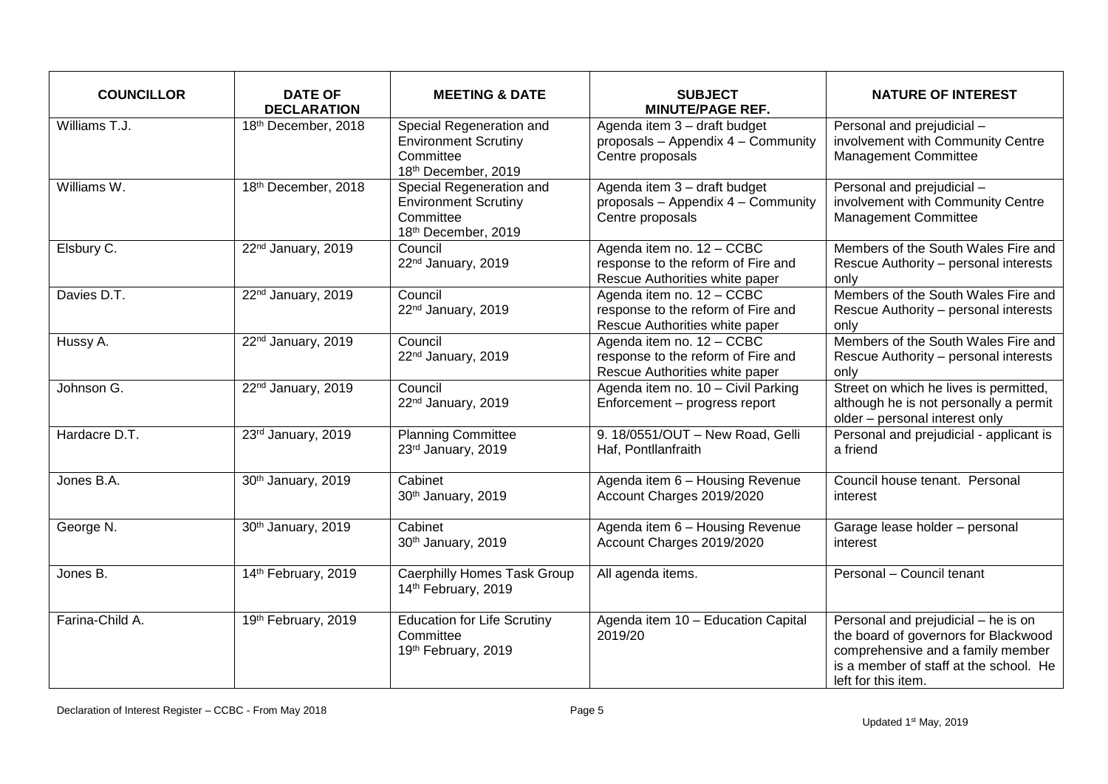| <b>COUNCILLOR</b> | <b>DATE OF</b><br><b>DECLARATION</b> | <b>MEETING &amp; DATE</b>                                                                   | <b>SUBJECT</b><br><b>MINUTE/PAGE REF.</b>                                                         | <b>NATURE OF INTEREST</b>                                                                                                                                                         |
|-------------------|--------------------------------------|---------------------------------------------------------------------------------------------|---------------------------------------------------------------------------------------------------|-----------------------------------------------------------------------------------------------------------------------------------------------------------------------------------|
| Williams T.J.     | 18th December, 2018                  | Special Regeneration and<br><b>Environment Scrutiny</b><br>Committee<br>18th December, 2019 | Agenda item 3 - draft budget<br>proposals - Appendix 4 - Community<br>Centre proposals            | Personal and prejudicial -<br>involvement with Community Centre<br>Management Committee                                                                                           |
| Williams W.       | 18th December, 2018                  | Special Regeneration and<br><b>Environment Scrutiny</b><br>Committee<br>18th December, 2019 | Agenda item 3 - draft budget<br>proposals - Appendix 4 - Community<br>Centre proposals            | Personal and prejudicial -<br>involvement with Community Centre<br><b>Management Committee</b>                                                                                    |
| Elsbury C.        | 22 <sup>nd</sup> January, 2019       | Council<br>22nd January, 2019                                                               | Agenda item no. 12 - CCBC<br>response to the reform of Fire and<br>Rescue Authorities white paper | Members of the South Wales Fire and<br>Rescue Authority - personal interests<br>only                                                                                              |
| Davies D.T.       | 22 <sup>nd</sup> January, 2019       | Council<br>22 <sup>nd</sup> January, 2019                                                   | Agenda item no. 12 - CCBC<br>response to the reform of Fire and<br>Rescue Authorities white paper | Members of the South Wales Fire and<br>Rescue Authority - personal interests<br>only                                                                                              |
| Hussy A.          | 22 <sup>nd</sup> January, 2019       | Council<br>22 <sup>nd</sup> January, 2019                                                   | Agenda item no. 12 - CCBC<br>response to the reform of Fire and<br>Rescue Authorities white paper | Members of the South Wales Fire and<br>Rescue Authority - personal interests<br>only                                                                                              |
| Johnson G.        | 22 <sup>nd</sup> January, 2019       | Council<br>22nd January, 2019                                                               | Agenda item no. 10 - Civil Parking<br>Enforcement - progress report                               | Street on which he lives is permitted,<br>although he is not personally a permit<br>older - personal interest only                                                                |
| Hardacre D.T.     | 23rd January, 2019                   | <b>Planning Committee</b><br>23rd January, 2019                                             | 9. 18/0551/OUT - New Road, Gelli<br>Haf, Pontllanfraith                                           | Personal and prejudicial - applicant is<br>a friend                                                                                                                               |
| Jones B.A.        | 30th January, 2019                   | Cabinet<br>30th January, 2019                                                               | Agenda item 6 - Housing Revenue<br>Account Charges 2019/2020                                      | Council house tenant. Personal<br>interest                                                                                                                                        |
| George N.         | 30th January, 2019                   | Cabinet<br>30th January, 2019                                                               | Agenda item 6 - Housing Revenue<br>Account Charges 2019/2020                                      | Garage lease holder - personal<br>interest                                                                                                                                        |
| Jones B.          | 14th February, 2019                  | Caerphilly Homes Task Group<br>14th February, 2019                                          | All agenda items.                                                                                 | Personal - Council tenant                                                                                                                                                         |
| Farina-Child A.   | 19th February, 2019                  | <b>Education for Life Scrutiny</b><br>Committee<br>19th February, 2019                      | Agenda item 10 - Education Capital<br>2019/20                                                     | Personal and prejudicial - he is on<br>the board of governors for Blackwood<br>comprehensive and a family member<br>is a member of staff at the school. He<br>left for this item. |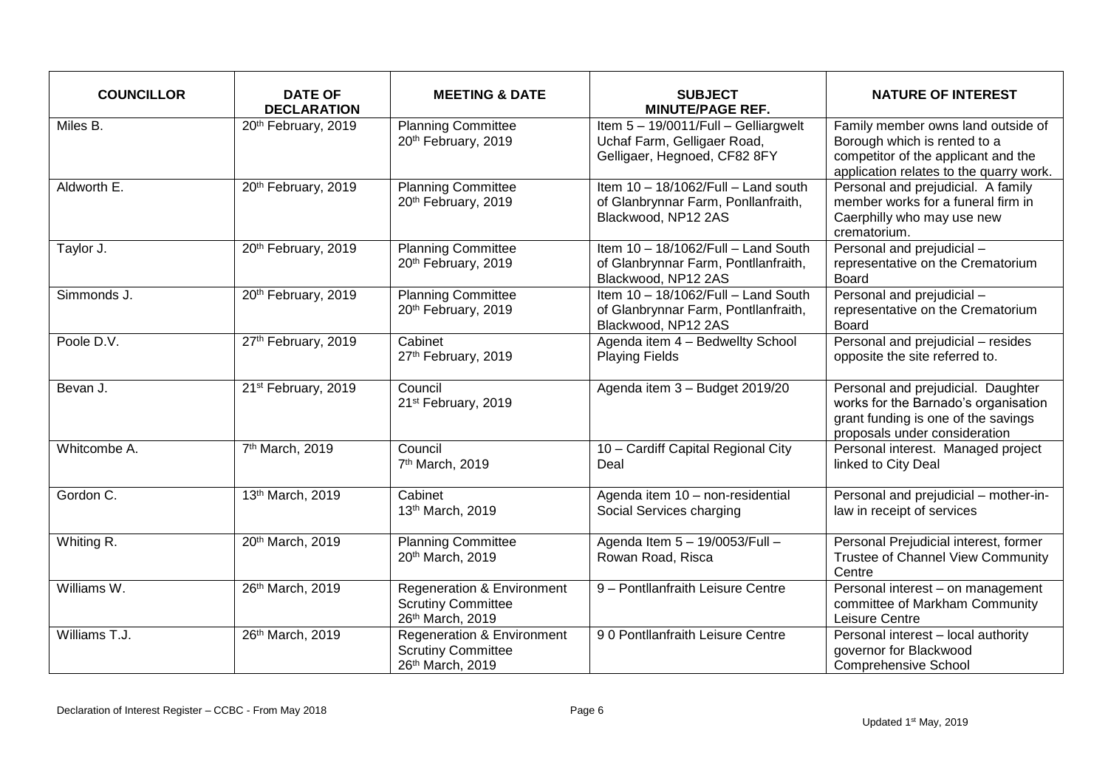| <b>COUNCILLOR</b> | <b>DATE OF</b><br><b>DECLARATION</b> | <b>MEETING &amp; DATE</b>                                                   | <b>SUBJECT</b><br><b>MINUTE/PAGE REF.</b>                                                           | <b>NATURE OF INTEREST</b>                                                                                                                            |
|-------------------|--------------------------------------|-----------------------------------------------------------------------------|-----------------------------------------------------------------------------------------------------|------------------------------------------------------------------------------------------------------------------------------------------------------|
| Miles B.          | 20th February, 2019                  | <b>Planning Committee</b><br>20th February, 2019                            | Item 5 - 19/0011/Full - Gelliargwelt<br>Uchaf Farm, Gelligaer Road,<br>Gelligaer, Hegnoed, CF82 8FY | Family member owns land outside of<br>Borough which is rented to a<br>competitor of the applicant and the<br>application relates to the quarry work. |
| Aldworth E.       | 20th February, 2019                  | <b>Planning Committee</b><br>20th February, 2019                            | Item 10 - 18/1062/Full - Land south<br>of Glanbrynnar Farm, Ponllanfraith,<br>Blackwood, NP12 2AS   | Personal and prejudicial. A family<br>member works for a funeral firm in<br>Caerphilly who may use new<br>crematorium.                               |
| Taylor J.         | 20th February, 2019                  | <b>Planning Committee</b><br>20th February, 2019                            | Item 10 - 18/1062/Full - Land South<br>of Glanbrynnar Farm, Pontllanfraith,<br>Blackwood, NP12 2AS  | Personal and prejudicial -<br>representative on the Crematorium<br>Board                                                                             |
| Simmonds J.       | 20th February, 2019                  | <b>Planning Committee</b><br>20th February, 2019                            | Item 10 - 18/1062/Full - Land South<br>of Glanbrynnar Farm, Pontllanfraith,<br>Blackwood, NP12 2AS  | Personal and prejudicial -<br>representative on the Crematorium<br><b>Board</b>                                                                      |
| Poole D.V.        | 27th February, 2019                  | Cabinet<br>27th February, 2019                                              | Agenda item 4 - Bedwellty School<br><b>Playing Fields</b>                                           | Personal and prejudicial - resides<br>opposite the site referred to.                                                                                 |
| Bevan J.          | 21st February, 2019                  | Council<br>21st February, 2019                                              | Agenda item 3 - Budget 2019/20                                                                      | Personal and prejudicial. Daughter<br>works for the Barnado's organisation<br>grant funding is one of the savings<br>proposals under consideration   |
| Whitcombe A.      | 7th March, 2019                      | Council<br>7th March, 2019                                                  | 10 - Cardiff Capital Regional City<br>Deal                                                          | Personal interest. Managed project<br>linked to City Deal                                                                                            |
| Gordon C.         | 13th March, 2019                     | Cabinet<br>13th March, 2019                                                 | Agenda item 10 - non-residential<br>Social Services charging                                        | Personal and prejudicial - mother-in-<br>law in receipt of services                                                                                  |
| Whiting R.        | 20th March, 2019                     | <b>Planning Committee</b><br>20th March, 2019                               | Agenda Item 5 - 19/0053/Full -<br>Rowan Road, Risca                                                 | Personal Prejudicial interest, former<br>Trustee of Channel View Community<br>Centre                                                                 |
| Williams W.       | 26th March, 2019                     | Regeneration & Environment<br><b>Scrutiny Committee</b><br>26th March, 2019 | 9 - Pontllanfraith Leisure Centre                                                                   | Personal interest - on management<br>committee of Markham Community<br>Leisure Centre                                                                |
| Williams T.J.     | 26th March, 2019                     | Regeneration & Environment<br><b>Scrutiny Committee</b><br>26th March, 2019 | 90 Pontllanfraith Leisure Centre                                                                    | Personal interest - local authority<br>governor for Blackwood<br><b>Comprehensive School</b>                                                         |